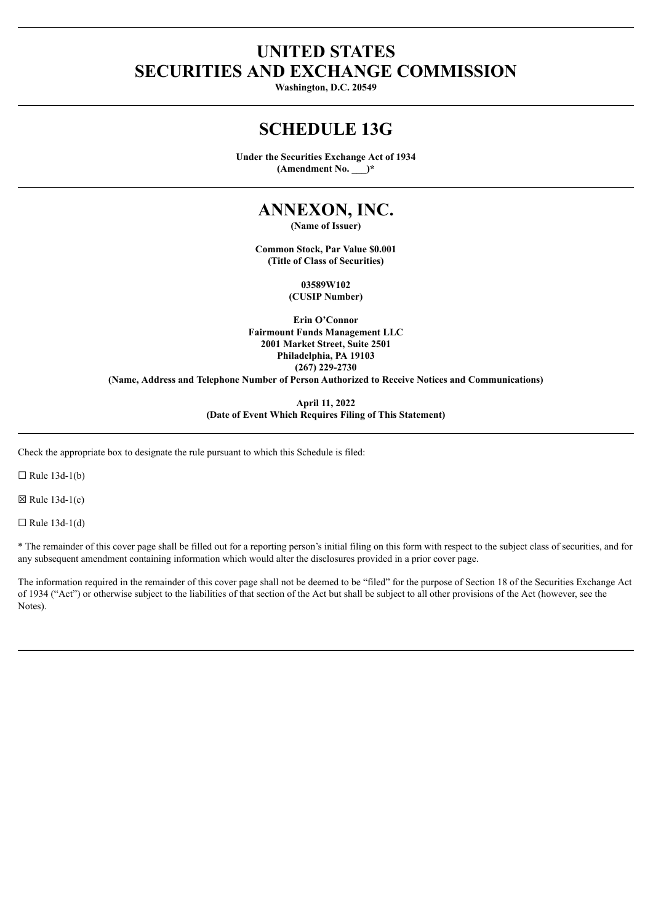# **UNITED STATES SECURITIES AND EXCHANGE COMMISSION**

**Washington, D.C. 20549**

# **SCHEDULE 13G**

**Under the Securities Exchange Act of 1934 (Amendment No. \_\_\_)\***

# **ANNEXON, INC.**

**(Name of Issuer)**

**Common Stock, Par Value \$0.001 (Title of Class of Securities)**

> **03589W102 (CUSIP Number)**

**Erin O'Connor Fairmount Funds Management LLC 2001 Market Street, Suite 2501 Philadelphia, PA 19103 (267) 229-2730**

**(Name, Address and Telephone Number of Person Authorized to Receive Notices and Communications)**

**April 11, 2022 (Date of Event Which Requires Filing of This Statement)**

Check the appropriate box to designate the rule pursuant to which this Schedule is filed:

 $\Box$  Rule 13d-1(b)

 $\boxtimes$  Rule 13d-1(c)

 $\Box$  Rule 13d-1(d)

\* The remainder of this cover page shall be filled out for a reporting person's initial filing on this form with respect to the subject class of securities, and for any subsequent amendment containing information which would alter the disclosures provided in a prior cover page.

The information required in the remainder of this cover page shall not be deemed to be "filed" for the purpose of Section 18 of the Securities Exchange Act of 1934 ("Act") or otherwise subject to the liabilities of that section of the Act but shall be subject to all other provisions of the Act (however, see the Notes).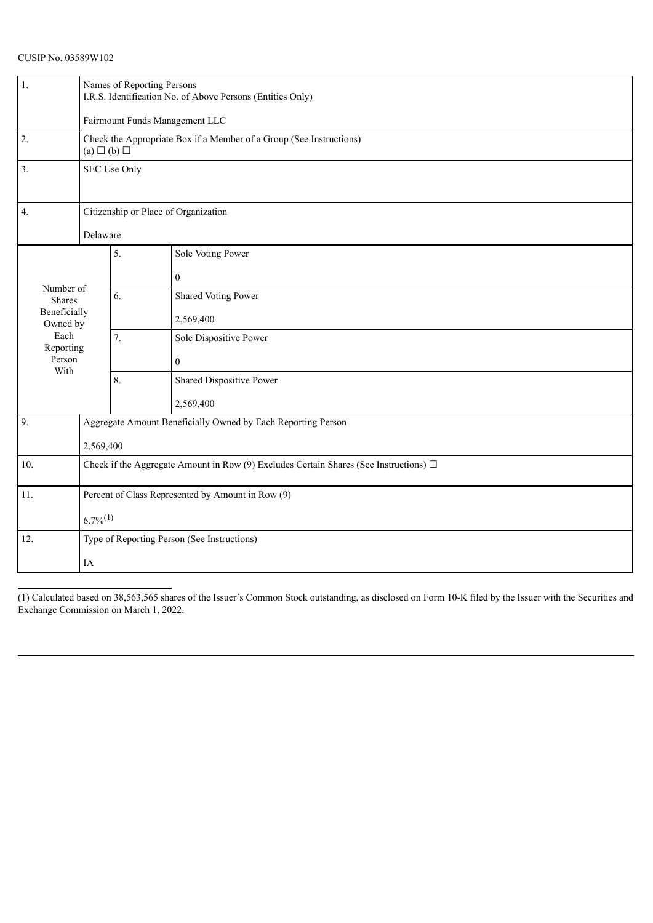| (1,                        | Names of Reporting Persons<br>I.R.S. Identification No. of Above Persons (Entities Only)   |    |                                                              |  |  |  |
|----------------------------|--------------------------------------------------------------------------------------------|----|--------------------------------------------------------------|--|--|--|
|                            | Fairmount Funds Management LLC                                                             |    |                                                              |  |  |  |
| 2.                         | Check the Appropriate Box if a Member of a Group (See Instructions)<br>$(a) \Box (b) \Box$ |    |                                                              |  |  |  |
| 3.                         | SEC Use Only                                                                               |    |                                                              |  |  |  |
| 4.                         | Citizenship or Place of Organization                                                       |    |                                                              |  |  |  |
|                            | Delaware                                                                                   |    |                                                              |  |  |  |
|                            |                                                                                            | 5. | Sole Voting Power                                            |  |  |  |
|                            |                                                                                            |    | $\theta$                                                     |  |  |  |
| Number of<br><b>Shares</b> |                                                                                            | 6. | Shared Voting Power                                          |  |  |  |
| Beneficially<br>Owned by   |                                                                                            |    | 2,569,400                                                    |  |  |  |
| Each<br>Reporting          |                                                                                            | 7. | Sole Dispositive Power                                       |  |  |  |
| Person                     |                                                                                            |    | $\theta$                                                     |  |  |  |
| With                       |                                                                                            | 8. | Shared Dispositive Power                                     |  |  |  |
|                            |                                                                                            |    | 2,569,400                                                    |  |  |  |
| 9.                         |                                                                                            |    | Aggregate Amount Beneficially Owned by Each Reporting Person |  |  |  |
|                            | 2,569,400                                                                                  |    |                                                              |  |  |  |
| 10.                        | Check if the Aggregate Amount in Row (9) Excludes Certain Shares (See Instructions) $\Box$ |    |                                                              |  |  |  |
| 11.                        | Percent of Class Represented by Amount in Row (9)                                          |    |                                                              |  |  |  |
|                            | $6.7\%^{(1)}$                                                                              |    |                                                              |  |  |  |
| 12.                        | Type of Reporting Person (See Instructions)                                                |    |                                                              |  |  |  |
|                            | IA                                                                                         |    |                                                              |  |  |  |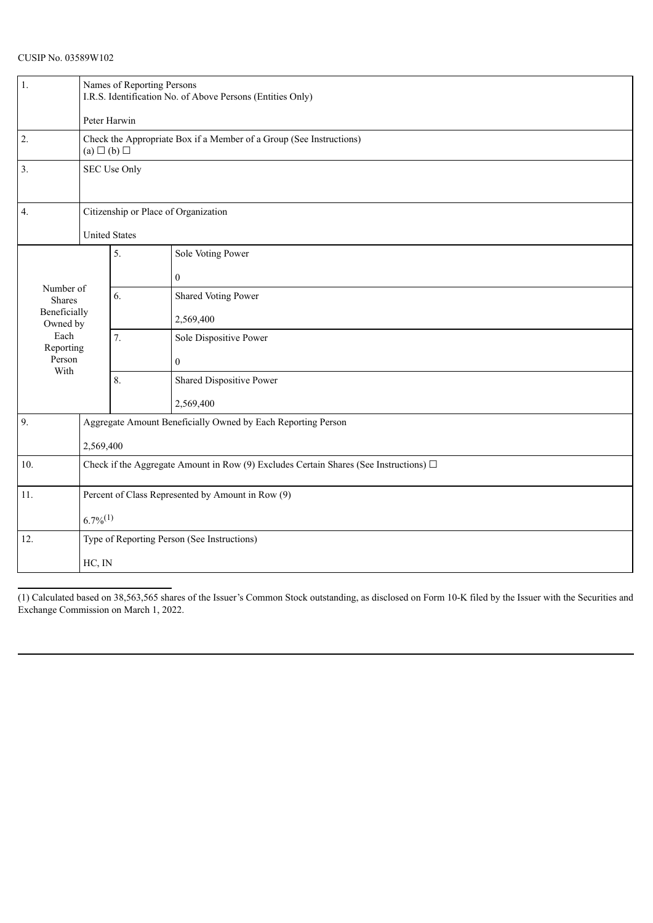| 1.                         | Names of Reporting Persons<br>I.R.S. Identification No. of Above Persons (Entities Only)<br>Peter Harwin |                  |                          |  |  |
|----------------------------|----------------------------------------------------------------------------------------------------------|------------------|--------------------------|--|--|
| $\overline{2}$ .           | Check the Appropriate Box if a Member of a Group (See Instructions)<br>$(a) \Box (b) \Box$               |                  |                          |  |  |
| 3.                         | SEC Use Only                                                                                             |                  |                          |  |  |
| 4.                         | Citizenship or Place of Organization                                                                     |                  |                          |  |  |
| <b>United States</b>       |                                                                                                          |                  |                          |  |  |
|                            |                                                                                                          | 5.               | Sole Voting Power        |  |  |
|                            |                                                                                                          |                  | $\boldsymbol{0}$         |  |  |
| Number of<br><b>Shares</b> |                                                                                                          | 6.               | Shared Voting Power      |  |  |
| Beneficially<br>Owned by   |                                                                                                          |                  | 2,569,400                |  |  |
| Each<br>Reporting          |                                                                                                          | $\overline{7}$ . | Sole Dispositive Power   |  |  |
| Person                     |                                                                                                          |                  | $\boldsymbol{0}$         |  |  |
| With                       |                                                                                                          | 8.               | Shared Dispositive Power |  |  |
|                            |                                                                                                          |                  | 2,569,400                |  |  |
| 9.                         | Aggregate Amount Beneficially Owned by Each Reporting Person                                             |                  |                          |  |  |
|                            | 2,569,400                                                                                                |                  |                          |  |  |
| 10.                        | Check if the Aggregate Amount in Row (9) Excludes Certain Shares (See Instructions) $\Box$               |                  |                          |  |  |
| 11.                        | Percent of Class Represented by Amount in Row (9)                                                        |                  |                          |  |  |
| $6.7\%^{(1)}$              |                                                                                                          |                  |                          |  |  |
| 12.                        | Type of Reporting Person (See Instructions)                                                              |                  |                          |  |  |
|                            | HC, IN                                                                                                   |                  |                          |  |  |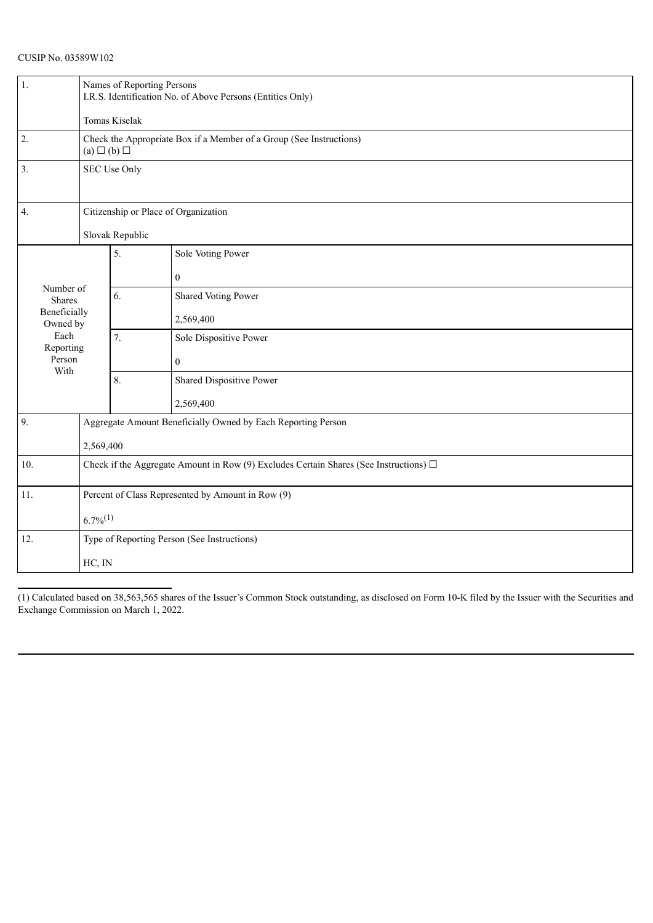| 1.                                                                                                                   | Names of Reporting Persons<br>I.R.S. Identification No. of Above Persons (Entities Only)<br>Tomas Kiselak |                  |                          |  |  |
|----------------------------------------------------------------------------------------------------------------------|-----------------------------------------------------------------------------------------------------------|------------------|--------------------------|--|--|
| $\overline{2}$ .<br>Check the Appropriate Box if a Member of a Group (See Instructions)<br>$(a) \square (b) \square$ |                                                                                                           |                  |                          |  |  |
| 3.                                                                                                                   | SEC Use Only                                                                                              |                  |                          |  |  |
| 4.                                                                                                                   | Citizenship or Place of Organization                                                                      |                  |                          |  |  |
| Slovak Republic                                                                                                      |                                                                                                           |                  |                          |  |  |
|                                                                                                                      |                                                                                                           | 5.               | Sole Voting Power        |  |  |
|                                                                                                                      |                                                                                                           |                  | $\boldsymbol{0}$         |  |  |
| Number of<br><b>Shares</b>                                                                                           |                                                                                                           | 6.               | Shared Voting Power      |  |  |
| Beneficially<br>Owned by                                                                                             |                                                                                                           |                  | 2,569,400                |  |  |
| Each<br>Reporting                                                                                                    |                                                                                                           | $\overline{7}$ . | Sole Dispositive Power   |  |  |
| Person<br>With                                                                                                       |                                                                                                           |                  | $\boldsymbol{0}$         |  |  |
|                                                                                                                      |                                                                                                           | 8.               | Shared Dispositive Power |  |  |
|                                                                                                                      |                                                                                                           |                  | 2,569,400                |  |  |
| 9.                                                                                                                   | Aggregate Amount Beneficially Owned by Each Reporting Person                                              |                  |                          |  |  |
|                                                                                                                      | 2,569,400                                                                                                 |                  |                          |  |  |
| 10.                                                                                                                  | Check if the Aggregate Amount in Row (9) Excludes Certain Shares (See Instructions) $\Box$                |                  |                          |  |  |
| 11.                                                                                                                  | Percent of Class Represented by Amount in Row (9)                                                         |                  |                          |  |  |
| $6.7\%^{(1)}$                                                                                                        |                                                                                                           |                  |                          |  |  |
| 12.                                                                                                                  | Type of Reporting Person (See Instructions)                                                               |                  |                          |  |  |
|                                                                                                                      | HC, IN                                                                                                    |                  |                          |  |  |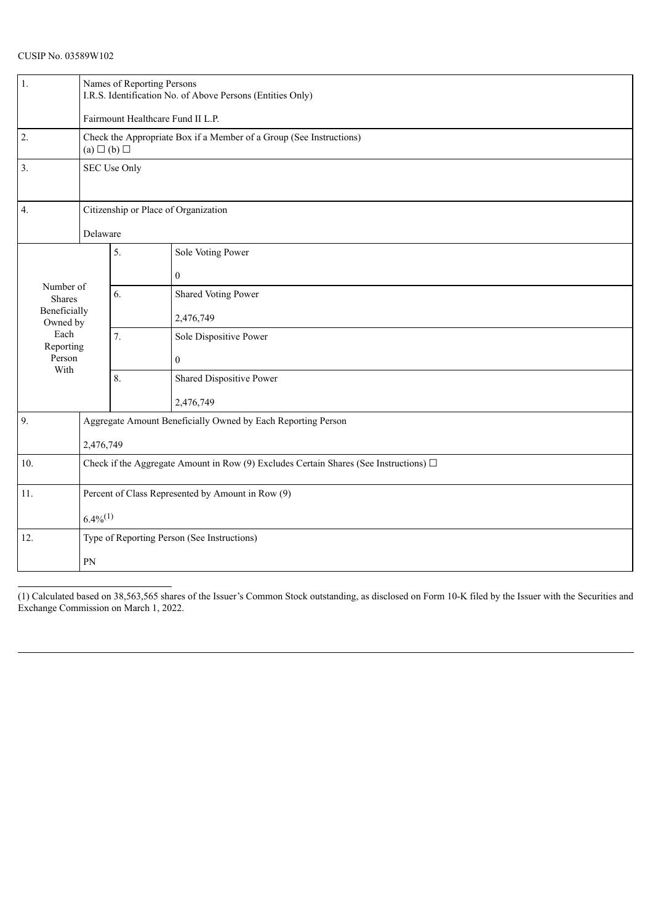| 1.                         | Names of Reporting Persons<br>I.R.S. Identification No. of Above Persons (Entities Only)   |    |                                                              |  |  |
|----------------------------|--------------------------------------------------------------------------------------------|----|--------------------------------------------------------------|--|--|
|                            | Fairmount Healthcare Fund II L.P.                                                          |    |                                                              |  |  |
| $\overline{2}$ .           | Check the Appropriate Box if a Member of a Group (See Instructions)<br>$(a) \Box (b) \Box$ |    |                                                              |  |  |
| 3.                         | SEC Use Only                                                                               |    |                                                              |  |  |
| $\overline{4}$ .           | Citizenship or Place of Organization                                                       |    |                                                              |  |  |
|                            | Delaware                                                                                   |    |                                                              |  |  |
|                            |                                                                                            | 5. | Sole Voting Power                                            |  |  |
|                            |                                                                                            |    | $\mathbf{0}$                                                 |  |  |
| Number of<br><b>Shares</b> |                                                                                            | 6. | Shared Voting Power                                          |  |  |
| Beneficially<br>Owned by   |                                                                                            |    | 2,476,749                                                    |  |  |
| Each<br>Reporting          |                                                                                            | 7. | Sole Dispositive Power                                       |  |  |
| Person                     |                                                                                            |    | $\mathbf{0}$                                                 |  |  |
| With                       |                                                                                            | 8. | Shared Dispositive Power                                     |  |  |
|                            |                                                                                            |    | 2,476,749                                                    |  |  |
| 9.                         |                                                                                            |    | Aggregate Amount Beneficially Owned by Each Reporting Person |  |  |
|                            | 2,476,749                                                                                  |    |                                                              |  |  |
| 10.                        | Check if the Aggregate Amount in Row (9) Excludes Certain Shares (See Instructions) $\Box$ |    |                                                              |  |  |
| 11.                        | Percent of Class Represented by Amount in Row (9)                                          |    |                                                              |  |  |
|                            | $6.4\%^{(1)}$                                                                              |    |                                                              |  |  |
| 12.                        | Type of Reporting Person (See Instructions)                                                |    |                                                              |  |  |
|                            | PN                                                                                         |    |                                                              |  |  |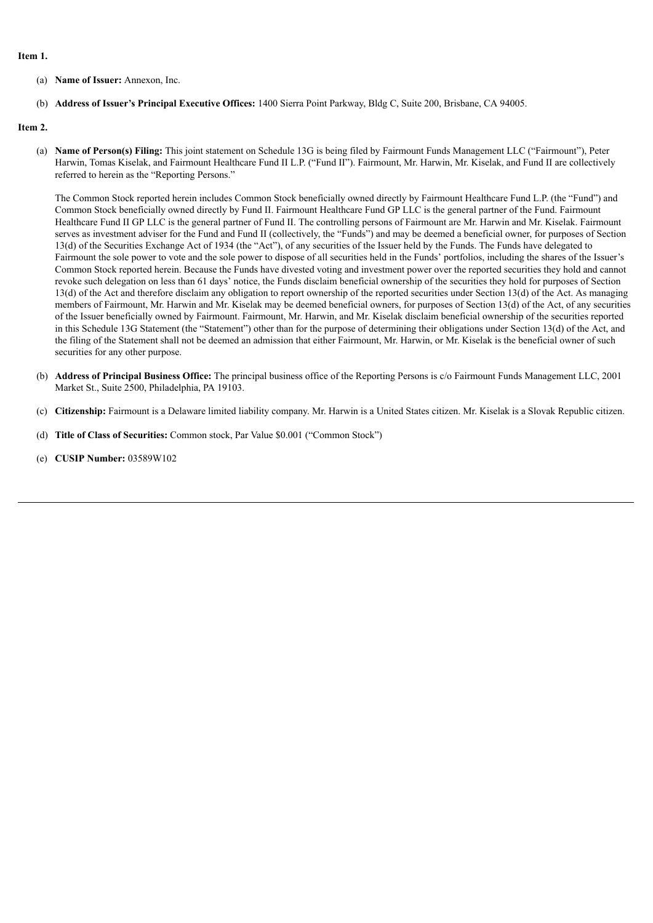#### **Item 1.**

- (a) **Name of Issuer:** Annexon, Inc.
- (b) **Address of Issuer's Principal Executive Offices:** 1400 Sierra Point Parkway, Bldg C, Suite 200, Brisbane, CA 94005.

## **Item 2.**

(a) **Name of Person(s) Filing:** This joint statement on Schedule 13G is being filed by Fairmount Funds Management LLC ("Fairmount"), Peter Harwin, Tomas Kiselak, and Fairmount Healthcare Fund II L.P. ("Fund II"). Fairmount, Mr. Harwin, Mr. Kiselak, and Fund II are collectively referred to herein as the "Reporting Persons."

The Common Stock reported herein includes Common Stock beneficially owned directly by Fairmount Healthcare Fund L.P. (the "Fund") and Common Stock beneficially owned directly by Fund II. Fairmount Healthcare Fund GP LLC is the general partner of the Fund. Fairmount Healthcare Fund II GP LLC is the general partner of Fund II. The controlling persons of Fairmount are Mr. Harwin and Mr. Kiselak. Fairmount serves as investment adviser for the Fund and Fund II (collectively, the "Funds") and may be deemed a beneficial owner, for purposes of Section 13(d) of the Securities Exchange Act of 1934 (the "Act"), of any securities of the Issuer held by the Funds. The Funds have delegated to Fairmount the sole power to vote and the sole power to dispose of all securities held in the Funds' portfolios, including the shares of the Issuer's Common Stock reported herein. Because the Funds have divested voting and investment power over the reported securities they hold and cannot revoke such delegation on less than 61 days' notice, the Funds disclaim beneficial ownership of the securities they hold for purposes of Section 13(d) of the Act and therefore disclaim any obligation to report ownership of the reported securities under Section 13(d) of the Act. As managing members of Fairmount, Mr. Harwin and Mr. Kiselak may be deemed beneficial owners, for purposes of Section 13(d) of the Act, of any securities of the Issuer beneficially owned by Fairmount. Fairmount, Mr. Harwin, and Mr. Kiselak disclaim beneficial ownership of the securities reported in this Schedule 13G Statement (the "Statement") other than for the purpose of determining their obligations under Section 13(d) of the Act, and the filing of the Statement shall not be deemed an admission that either Fairmount, Mr. Harwin, or Mr. Kiselak is the beneficial owner of such securities for any other purpose.

- (b) **Address of Principal Business Office:** The principal business office of the Reporting Persons is c/o Fairmount Funds Management LLC, 2001 Market St., Suite 2500, Philadelphia, PA 19103.
- (c) **Citizenship:** Fairmount is a Delaware limited liability company. Mr. Harwin is a United States citizen. Mr. Kiselak is a Slovak Republic citizen.
- (d) **Title of Class of Securities:** Common stock, Par Value \$0.001 ("Common Stock")
- (e) **CUSIP Number:** 03589W102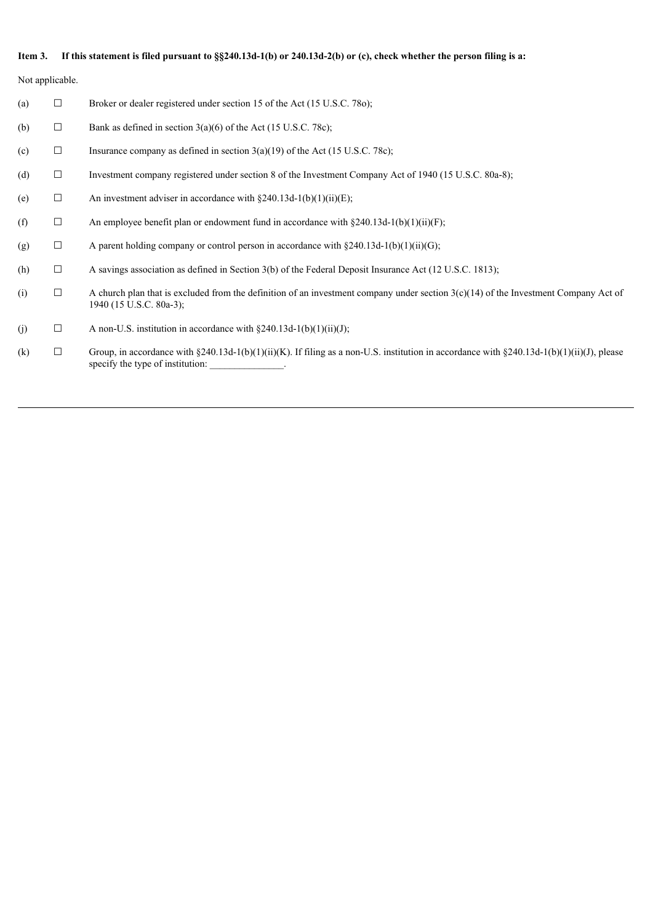## Item 3. If this statement is filed pursuant to §§240.13d-1(b) or 240.13d-2(b) or (c), check whether the person filing is a:

Not applicable.

- (a)  $\Box$  Broker or dealer registered under section 15 of the Act (15 U.S.C. 780);
- (b)  $\Box$  Bank as defined in section 3(a)(6) of the Act (15 U.S.C. 78c);
- (c)  $\Box$  Insurance company as defined in section 3(a)(19) of the Act (15 U.S.C. 78c);
- (d) ☐ Investment company registered under section 8 of the Investment Company Act of 1940 (15 U.S.C. 80a-8);
- (e)  $\Box$  An investment adviser in accordance with §240.13d-1(b)(1)(ii)(E);
- (f)  $\Box$  An employee benefit plan or endowment fund in accordance with §240.13d-1(b)(1)(ii)(F);
- (g)  $\Box$  A parent holding company or control person in accordance with §240.13d-1(b)(1)(ii)(G);
- (h) ☐ A savings association as defined in Section 3(b) of the Federal Deposit Insurance Act (12 U.S.C. 1813);
- (i)  $\Box$  A church plan that is excluded from the definition of an investment company under section 3(c)(14) of the Investment Company Act of 1940 (15 U.S.C. 80a-3);
- (j)  $\Box$  A non-U.S. institution in accordance with §240.13d-1(b)(1)(ii)(J);
- (k)  $\Box$  Group, in accordance with §240.13d-1(b)(1)(ii)(K). If filing as a non-U.S. institution in accordance with §240.13d-1(b)(1)(ii)(J), please specify the type of institution: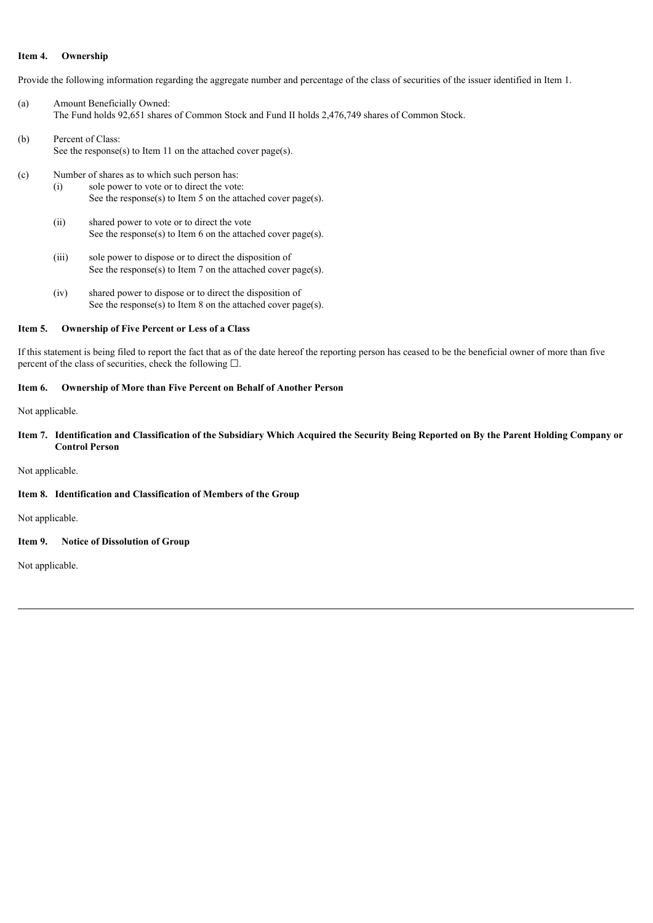# **Item 4. Ownership**

Provide the following information regarding the aggregate number and percentage of the class of securities of the issuer identified in Item 1.

- (a) Amount Beneficially Owned: The Fund holds 92,651 shares of Common Stock and Fund II holds 2,476,749 shares of Common Stock.
- (b) Percent of Class: See the response(s) to Item 11 on the attached cover page(s).
- (c) Number of shares as to which such person has: (i) sole power to vote or to direct the vote: See the response(s) to Item 5 on the attached cover page(s).
	- (ii) shared power to vote or to direct the vote See the response(s) to Item 6 on the attached cover page(s).
	- (iii) sole power to dispose or to direct the disposition of See the response(s) to Item 7 on the attached cover page(s).
	- (iv) shared power to dispose or to direct the disposition of See the response(s) to Item 8 on the attached cover page(s).

#### **Item 5. Ownership of Five Percent or Less of a Class**

If this statement is being filed to report the fact that as of the date hereof the reporting person has ceased to be the beneficial owner of more than five percent of the class of securities, check the following  $\square$ .

## **Item 6. Ownership of More than Five Percent on Behalf of Another Person**

Not applicable.

Item 7. Identification and Classification of the Subsidiary Which Acquired the Security Being Reported on By the Parent Holding Company or **Control Person**

### Not applicable.

## **Item 8. Identification and Classification of Members of the Group**

Not applicable.

## **Item 9. Notice of Dissolution of Group**

Not applicable.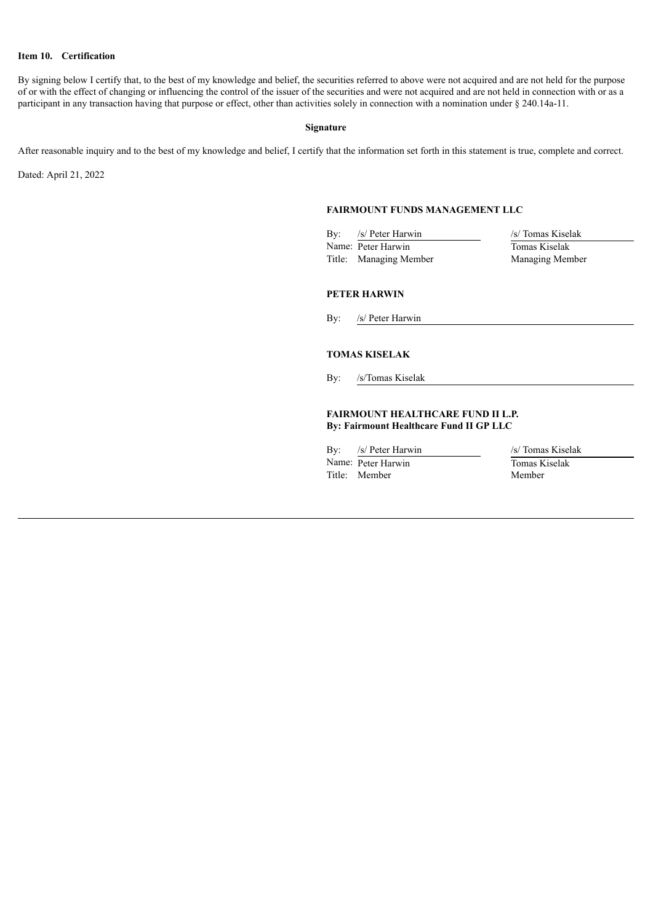# **Item 10. Certification**

By signing below I certify that, to the best of my knowledge and belief, the securities referred to above were not acquired and are not held for the purpose of or with the effect of changing or influencing the control of the issuer of the securities and were not acquired and are not held in connection with or as a participant in any transaction having that purpose or effect, other than activities solely in connection with a nomination under § 240.14a-11.

## **Signature**

After reasonable inquiry and to the best of my knowledge and belief, I certify that the information set forth in this statement is true, complete and correct.

Dated: April 21, 2022

# **FAIRMOUNT FUNDS MANAGEMENT LLC**

By: /s/ Peter Harwin /s/ Tomas Kiselak Name: Peter Harwin Tomas Kiselak<br>Title: Managing Member Managing Member Title: Managing Member

## **PETER HARWIN**

By: /s/ Peter Harwin

# **TOMAS KISELAK**

By: /s/Tomas Kiselak

# **FAIRMOUNT HEALTHCARE FUND II L.P. By: Fairmount Healthcare Fund II GP LLC**

Name: Peter Harwin Tomas Kiselak Title: Member Member

By: /s/ Peter Harwin /s/ Tomas Kiselak